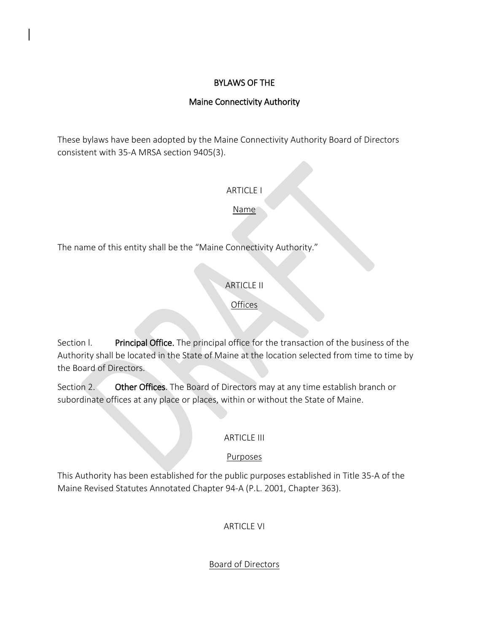## BYLAWS OF THE

## Maine Connectivity Authority

These bylaws have been adopted by the Maine Connectivity Authority Board of Directors consistent with 35-A MRSA section 9405(3).

ARTICLE I

Name

The name of this entity shall be the "Maine Connectivity Authority."

# ARTICLE II

**Offices** 

Section I. Principal Office. The principal office for the transaction of the business of the Authority shall be located in the State of Maine at the location selected from time to time by the Board of Directors.

Section 2. Other Offices. The Board of Directors may at any time establish branch or subordinate offices at any place or places, within or without the State of Maine.

## ARTICLE III

## Purposes

This Authority has been established for the public purposes established in Title 35-A of the Maine Revised Statutes Annotated Chapter 94-A (P.L. 2001, Chapter 363).

ARTICLE VI

Board of Directors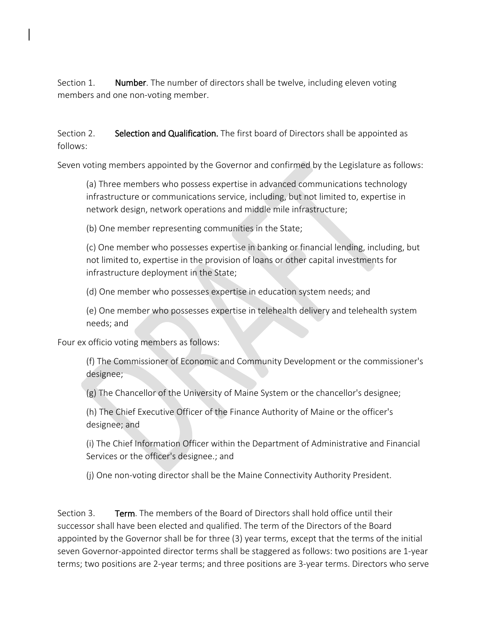Section 1. Number. The number of directors shall be twelve, including eleven voting members and one non-voting member.

Section 2. Selection and Qualification. The first board of Directors shall be appointed as follows:

Seven voting members appointed by the Governor and confirmed by the Legislature as follows:

(a) Three members who possess expertise in advanced communications technology infrastructure or communications service, including, but not limited to, expertise in network design, network operations and middle mile infrastructure;

(b) One member representing communities in the State;

(c) One member who possesses expertise in banking or financial lending, including, but not limited to, expertise in the provision of loans or other capital investments for infrastructure deployment in the State;

(d) One member who possesses expertise in education system needs; and

(e) One member who possesses expertise in telehealth delivery and telehealth system needs; and

Four ex officio voting members as follows:

(f) The Commissioner of Economic and Community Development or the commissioner's designee;

(g) The Chancellor of the University of Maine System or the chancellor's designee;

(h) The Chief Executive Officer of the Finance Authority of Maine or the officer's designee; and

(i) The Chief Information Officer within the Department of Administrative and Financial Services or the officer's designee.; and

(j) One non-voting director shall be the Maine Connectivity Authority President.

Section 3. Term. The members of the Board of Directors shall hold office until their successor shall have been elected and qualified. The term of the Directors of the Board appointed by the Governor shall be for three (3) year terms, except that the terms of the initial seven Governor-appointed director terms shall be staggered as follows: two positions are 1-year terms; two positions are 2-year terms; and three positions are 3-year terms. Directors who serve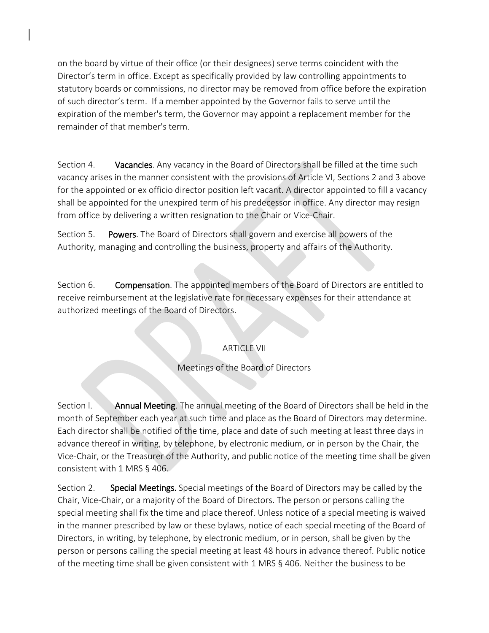on the board by virtue of their office (or their designees) serve terms coincident with the Director's term in office. Except as specifically provided by law controlling appointments to statutory boards or commissions, no director may be removed from office before the expiration of such director's term. If a member appointed by the Governor fails to serve until the expiration of the member's term, the Governor may appoint a replacement member for the remainder of that member's term.

Section 4. Vacancies. Any vacancy in the Board of Directors shall be filled at the time such vacancy arises in the manner consistent with the provisions of Article VI, Sections 2 and 3 above for the appointed or ex officio director position left vacant. A director appointed to fill a vacancy shall be appointed for the unexpired term of his predecessor in office. Any director may resign from office by delivering a written resignation to the Chair or Vice-Chair.

Section 5. Powers. The Board of Directors shall govern and exercise all powers of the Authority, managing and controlling the business, property and affairs of the Authority.

Section 6. Compensation. The appointed members of the Board of Directors are entitled to receive reimbursement at the legislative rate for necessary expenses for their attendance at authorized meetings of the Board of Directors.

## ARTICLE VII

## Meetings of the Board of Directors

Section l. Annual Meeting. The annual meeting of the Board of Directors shall be held in the month of September each year at such time and place as the Board of Directors may determine. Each director shall be notified of the time, place and date of such meeting at least three days in advance thereof in writing, by telephone, by electronic medium, or in person by the Chair, the Vice-Chair, or the Treasurer of the Authority, and public notice of the meeting time shall be given consistent with 1 MRS § 406.

Section 2. Special Meetings. Special meetings of the Board of Directors may be called by the Chair, Vice-Chair, or a majority of the Board of Directors. The person or persons calling the special meeting shall fix the time and place thereof. Unless notice of a special meeting is waived in the manner prescribed by law or these bylaws, notice of each special meeting of the Board of Directors, in writing, by telephone, by electronic medium, or in person, shall be given by the person or persons calling the special meeting at least 48 hours in advance thereof. Public notice of the meeting time shall be given consistent with 1 MRS § 406. Neither the business to be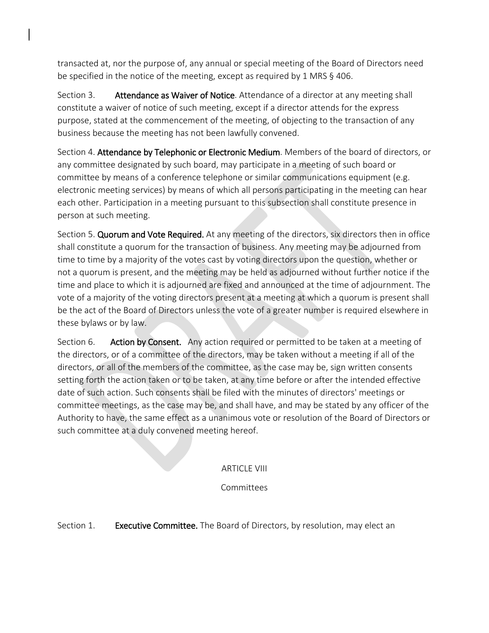transacted at, nor the purpose of, any annual or special meeting of the Board of Directors need be specified in the notice of the meeting, except as required by 1 MRS § 406.

Section 3. Attendance as Waiver of Notice. Attendance of a director at any meeting shall constitute a waiver of notice of such meeting, except if a director attends for the express purpose, stated at the commencement of the meeting, of objecting to the transaction of any business because the meeting has not been lawfully convened.

Section 4. Attendance by Telephonic or Electronic Medium. Members of the board of directors, or any committee designated by such board, may participate in a meeting of such board or committee by means of a conference telephone or similar communications equipment (e.g. electronic meeting services) by means of which all persons participating in the meeting can hear each other. Participation in a meeting pursuant to this subsection shall constitute presence in person at such meeting.

Section 5. Quorum and Vote Required. At any meeting of the directors, six directors then in office shall constitute a quorum for the transaction of business. Any meeting may be adjourned from time to time by a majority of the votes cast by voting directors upon the question, whether or not a quorum is present, and the meeting may be held as adjourned without further notice if the time and place to which it is adjourned are fixed and announced at the time of adjournment. The vote of a majority of the voting directors present at a meeting at which a quorum is present shall be the act of the Board of Directors unless the vote of a greater number is required elsewhere in these bylaws or by law.

Section 6. Action by Consent. Any action required or permitted to be taken at a meeting of the directors, or of a committee of the directors, may be taken without a meeting if all of the directors, or all of the members of the committee, as the case may be, sign written consents setting forth the action taken or to be taken, at any time before or after the intended effective date of such action. Such consents shall be filed with the minutes of directors' meetings or committee meetings, as the case may be, and shall have, and may be stated by any officer of the Authority to have, the same effect as a unanimous vote or resolution of the Board of Directors or such committee at a duly convened meeting hereof.

### ARTICLE VIII

### Committees

Section 1. **Executive Committee.** The Board of Directors, by resolution, may elect an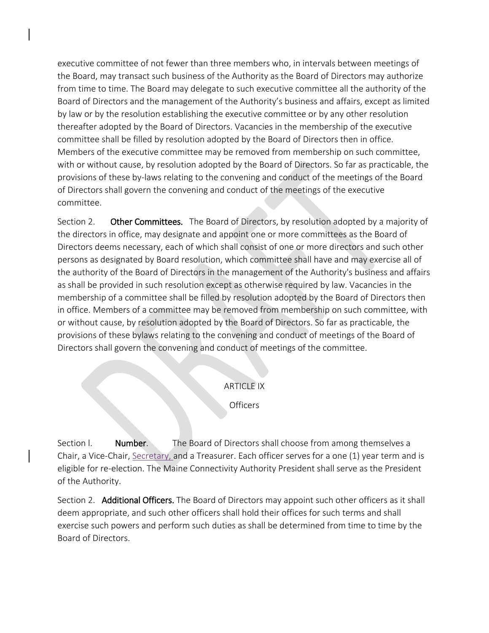executive committee of not fewer than three members who, in intervals between meetings of the Board, may transact such business of the Authority as the Board of Directors may authorize from time to time. The Board may delegate to such executive committee all the authority of the Board of Directors and the management of the Authority's business and affairs, except as limited by law or by the resolution establishing the executive committee or by any other resolution thereafter adopted by the Board of Directors. Vacancies in the membership of the executive committee shall be filled by resolution adopted by the Board of Directors then in office. Members of the executive committee may be removed from membership on such committee, with or without cause, by resolution adopted by the Board of Directors. So far as practicable, the provisions of these by-laws relating to the convening and conduct of the meetings of the Board of Directors shall govern the convening and conduct of the meetings of the executive committee.

Section 2. Other Committees. The Board of Directors, by resolution adopted by a majority of the directors in office, may designate and appoint one or more committees as the Board of Directors deems necessary, each of which shall consist of one or more directors and such other persons as designated by Board resolution, which committee shall have and may exercise all of the authority of the Board of Directors in the management of the Authority's business and affairs as shall be provided in such resolution except as otherwise required by law. Vacancies in the membership of a committee shall be filled by resolution adopted by the Board of Directors then in office. Members of a committee may be removed from membership on such committee, with or without cause, by resolution adopted by the Board of Directors. So far as practicable, the provisions of these bylaws relating to the convening and conduct of meetings of the Board of Directors shall govern the convening and conduct of meetings of the committee.

#### ARTICLE IX

**Officers** 

Section l. Number. The Board of Directors shall choose from among themselves a Chair, a Vice-Chair, Secretary, and a Treasurer. Each officer serves for a one (1) year term and is eligible for re-election. The Maine Connectivity Authority President shall serve as the President of the Authority.

Section 2. Additional Officers. The Board of Directors may appoint such other officers as it shall deem appropriate, and such other officers shall hold their offices for such terms and shall exercise such powers and perform such duties as shall be determined from time to time by the Board of Directors.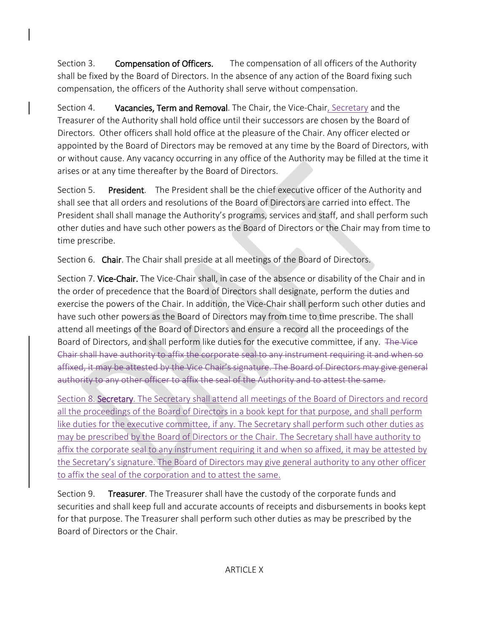Section 3. **Compensation of Officers.** The compensation of all officers of the Authority shall be fixed by the Board of Directors. In the absence of any action of the Board fixing such compensation, the officers of the Authority shall serve without compensation.

Section 4. Vacancies, Term and Removal. The Chair, the Vice-Chair, Secretary and the Treasurer of the Authority shall hold office until their successors are chosen by the Board of Directors. Other officers shall hold office at the pleasure of the Chair. Any officer elected or appointed by the Board of Directors may be removed at any time by the Board of Directors, with or without cause. Any vacancy occurring in any office of the Authority may be filled at the time it arises or at any time thereafter by the Board of Directors.

Section 5. President. The President shall be the chief executive officer of the Authority and shall see that all orders and resolutions of the Board of Directors are carried into effect. The President shall shall manage the Authority's programs, services and staff, and shall perform such other duties and have such other powers as the Board of Directors or the Chair may from time to time prescribe.

Section 6. Chair. The Chair shall preside at all meetings of the Board of Directors.

Section 7. Vice-Chair. The Vice-Chair shall, in case of the absence or disability of the Chair and in the order of precedence that the Board of Directors shall designate, perform the duties and exercise the powers of the Chair. In addition, the Vice-Chair shall perform such other duties and have such other powers as the Board of Directors may from time to time prescribe. The shall attend all meetings of the Board of Directors and ensure a record all the proceedings of the Board of Directors, and shall perform like duties for the executive committee, if any. The Vice Chair shall have authority to affix the corporate seal to any instrument requiring it and when affixed, it may be attested by the Vice Chair's signature. The Board of Directors may give general authority to any other officer to affix the seal of the Authority and to attest the

Section 8. Secretary. The Secretary shall attend all meetings of the Board of Directors and record all the proceedings of the Board of Directors in a book kept for that purpose, and shall perform like duties for the executive committee, if any. The Secretary shall perform such other duties as may be prescribed by the Board of Directors or the Chair. The Secretary shall have authority to affix the corporate seal to any instrument requiring it and when so affixed, it may be attested by the Secretary's signature. The Board of Directors may give general authority to any other officer to affix the seal of the corporation and to attest the same.

Section 9. Treasurer. The Treasurer shall have the custody of the corporate funds and securities and shall keep full and accurate accounts of receipts and disbursements in books kept for that purpose. The Treasurer shall perform such other duties as may be prescribed by the Board of Directors or the Chair.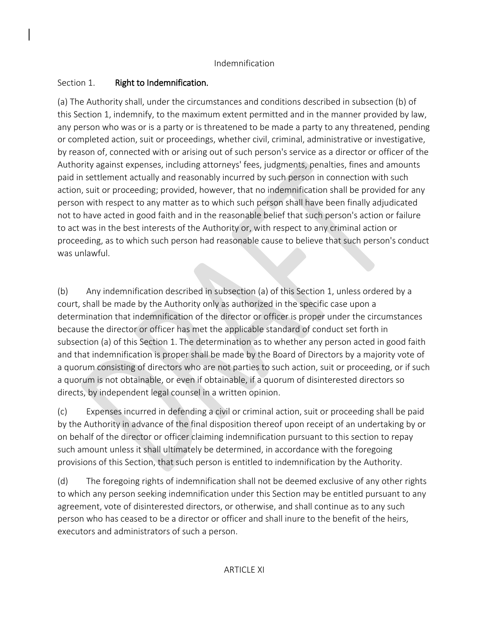# Section 1. Right to Indemnification.

(a) The Authority shall, under the circumstances and conditions described in subsection (b) of this Section 1, indemnify, to the maximum extent permitted and in the manner provided by law, any person who was or is a party or is threatened to be made a party to any threatened, pending or completed action, suit or proceedings, whether civil, criminal, administrative or investigative, by reason of, connected with or arising out of such person's service as a director or officer of the Authority against expenses, including attorneys' fees, judgments, penalties, fines and amounts paid in settlement actually and reasonably incurred by such person in connection with such action, suit or proceeding; provided, however, that no indemnification shall be provided for any person with respect to any matter as to which such person shall have been finally adjudicated not to have acted in good faith and in the reasonable belief that such person's action or failure to act was in the best interests of the Authority or, with respect to any criminal action or proceeding, as to which such person had reasonable cause to believe that such person's conduct was unlawful.

(b) Any indemnification described in subsection (a) of this Section 1, unless ordered by a court, shall be made by the Authority only as authorized in the specific case upon a determination that indemnification of the director or officer is proper under the circumstances because the director or officer has met the applicable standard of conduct set forth in subsection (a) of this Section 1. The determination as to whether any person acted in good faith and that indemnification is proper shall be made by the Board of Directors by a majority vote of a quorum consisting of directors who are not parties to such action, suit or proceeding, or if such a quorum is not obtainable, or even if obtainable, if a quorum of disinterested directors so directs, by independent legal counsel in a written opinion.

(c) Expenses incurred in defending a civil or criminal action, suit or proceeding shall be paid by the Authority in advance of the final disposition thereof upon receipt of an undertaking by or on behalf of the director or officer claiming indemnification pursuant to this section to repay such amount unless it shall ultimately be determined, in accordance with the foregoing provisions of this Section, that such person is entitled to indemnification by the Authority.

(d) The foregoing rights of indemnification shall not be deemed exclusive of any other rights to which any person seeking indemnification under this Section may be entitled pursuant to any agreement, vote of disinterested directors, or otherwise, and shall continue as to any such person who has ceased to be a director or officer and shall inure to the benefit of the heirs, executors and administrators of such a person.